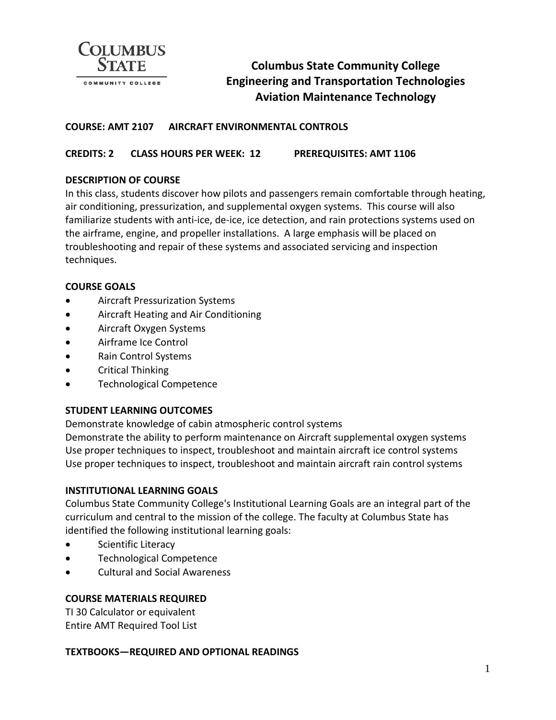

# **Columbus State Community College Engineering and Transportation Technologies Aviation Maintenance Technology**

# **COURSE: AMT 2107 AIRCRAFT ENVIRONMENTAL CONTROLS**

# **CREDITS: 2 CLASS HOURS PER WEEK: 12 PREREQUISITES: AMT 1106**

#### **DESCRIPTION OF COURSE**

In this class, students discover how pilots and passengers remain comfortable through heating, air conditioning, pressurization, and supplemental oxygen systems. This course will also familiarize students with anti-ice, de-ice, ice detection, and rain protections systems used on the airframe, engine, and propeller installations. A large emphasis will be placed on troubleshooting and repair of these systems and associated servicing and inspection techniques.

#### **COURSE GOALS**

- Aircraft Pressurization Systems
- Aircraft Heating and Air Conditioning
- Aircraft Oxygen Systems
- Airframe Ice Control
- Rain Control Systems
- Critical Thinking
- Technological Competence

#### **STUDENT LEARNING OUTCOMES**

Demonstrate knowledge of cabin atmospheric control systems Demonstrate the ability to perform maintenance on Aircraft supplemental oxygen systems Use proper techniques to inspect, troubleshoot and maintain aircraft ice control systems Use proper techniques to inspect, troubleshoot and maintain aircraft rain control systems

#### **INSTITUTIONAL LEARNING GOALS**

Columbus State Community College's Institutional Learning Goals are an integral part of the curriculum and central to the mission of the college. The faculty at Columbus State has identified the following institutional learning goals:

- Scientific Literacy
- Technological Competence
- Cultural and Social Awareness

#### **COURSE MATERIALS REQUIRED**

TI 30 Calculator or equivalent Entire AMT Required Tool List

#### **TEXTBOOKS—REQUIRED AND OPTIONAL READINGS**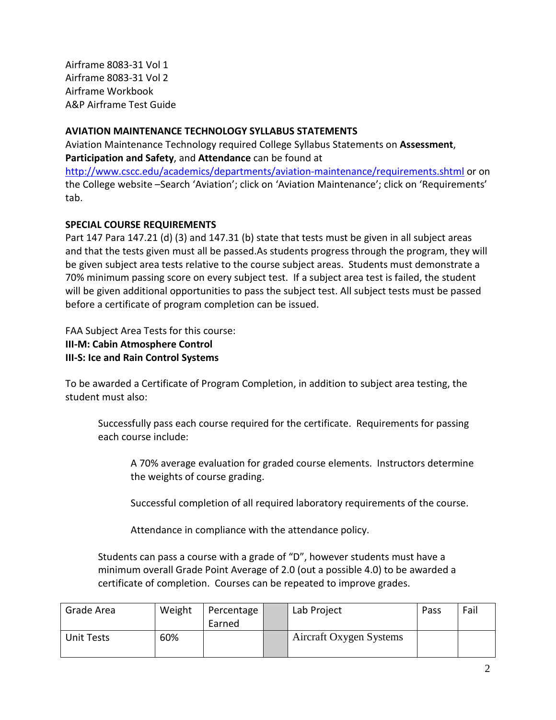Airframe 8083-31 Vol 1 Airframe 8083-31 Vol 2 Airframe Workbook A&P Airframe Test Guide

# **AVIATION MAINTENANCE TECHNOLOGY SYLLABUS STATEMENTS**

Aviation Maintenance Technology required College Syllabus Statements on **Assessment**, **Participation and Safety**, and **Attendance** can be found at <http://www.cscc.edu/academics/departments/aviation-maintenance/requirements.shtml> or on

the College website –Search 'Aviation'; click on 'Aviation Maintenance'; click on 'Requirements' tab.

# **SPECIAL COURSE REQUIREMENTS**

Part 147 Para 147.21 (d) (3) and 147.31 (b) state that tests must be given in all subject areas and that the tests given must all be passed.As students progress through the program, they will be given subject area tests relative to the course subject areas. Students must demonstrate a 70% minimum passing score on every subject test. If a subject area test is failed, the student will be given additional opportunities to pass the subject test. All subject tests must be passed before a certificate of program completion can be issued.

FAA Subject Area Tests for this course:

**III-M: Cabin Atmosphere Control**

**III-S: Ice and Rain Control Systems**

To be awarded a Certificate of Program Completion, in addition to subject area testing, the student must also:

Successfully pass each course required for the certificate. Requirements for passing each course include:

A 70% average evaluation for graded course elements. Instructors determine the weights of course grading.

Successful completion of all required laboratory requirements of the course.

Attendance in compliance with the attendance policy.

Students can pass a course with a grade of "D", however students must have a minimum overall Grade Point Average of 2.0 (out a possible 4.0) to be awarded a certificate of completion. Courses can be repeated to improve grades.

| Grade Area | Weight | Percentage<br>Earned | Lab Project             | Pass | Fail |
|------------|--------|----------------------|-------------------------|------|------|
| Unit Tests | 60%    |                      | Aircraft Oxygen Systems |      |      |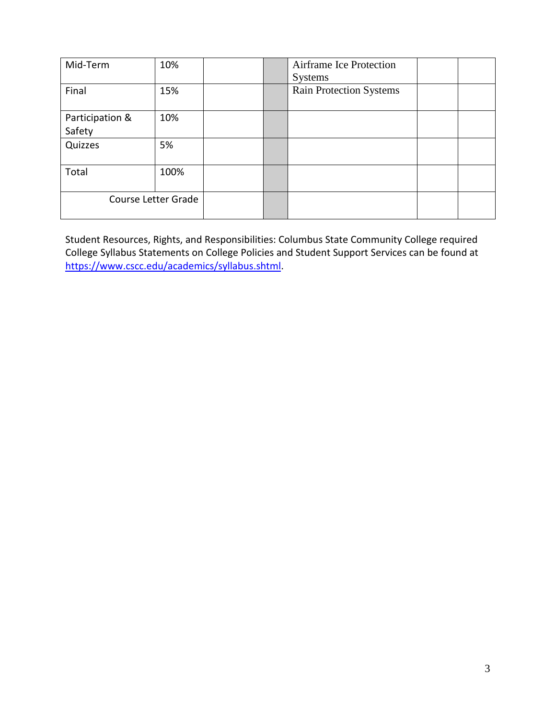| Mid-Term                  | 10%  |  | Airframe Ice Protection<br><b>Systems</b> |  |
|---------------------------|------|--|-------------------------------------------|--|
| Final                     | 15%  |  | <b>Rain Protection Systems</b>            |  |
| Participation &<br>Safety | 10%  |  |                                           |  |
| Quizzes                   | 5%   |  |                                           |  |
| Total                     | 100% |  |                                           |  |
| Course Letter Grade       |      |  |                                           |  |

Student Resources, Rights, and Responsibilities: Columbus State Community College required College Syllabus Statements on College Policies and Student Support Services can be found at [https://www.cscc.edu/academics/syllabus.shtml.](https://www.cscc.edu/academics/syllabus.shtml)